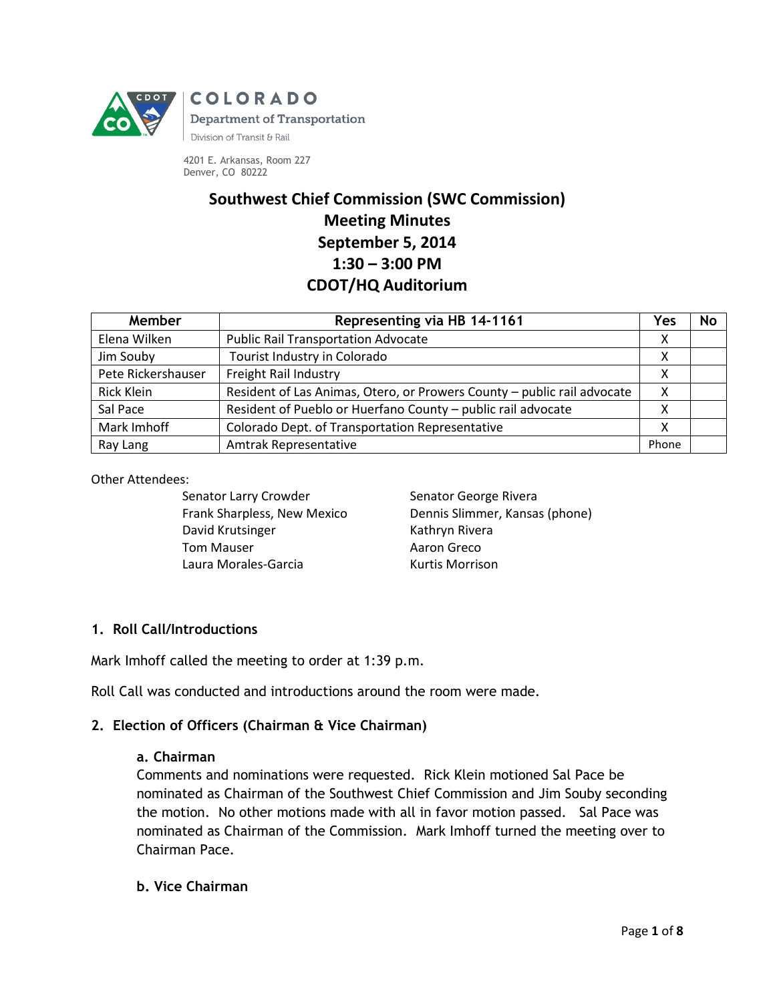

4201 E. Arkansas, Room 227 Denver, CO 80222

# **Southwest Chief Commission (SWC Commission) Meeting Minutes September 5, 2014 1:30 – 3:00 PM CDOT/HQ Auditorium**

| Member             | Representing via HB 14-1161                                             | Yes   | No |
|--------------------|-------------------------------------------------------------------------|-------|----|
| Elena Wilken       | <b>Public Rail Transportation Advocate</b>                              | х     |    |
| Jim Souby          | Tourist Industry in Colorado                                            | Χ     |    |
| Pete Rickershauser | Freight Rail Industry                                                   | Χ     |    |
| <b>Rick Klein</b>  | Resident of Las Animas, Otero, or Prowers County - public rail advocate | х     |    |
| Sal Pace           | Resident of Pueblo or Huerfano County - public rail advocate            | Χ     |    |
| Mark Imhoff        | Colorado Dept. of Transportation Representative                         | Χ     |    |
| Ray Lang           | Amtrak Representative                                                   | Phone |    |

Other Attendees:

Senator Larry Crowder Frank Sharpless, New Mexico David Krutsinger Tom Mauser Laura Morales-Garcia

Senator George Rivera Dennis Slimmer, Kansas (phone) Kathryn Rivera Aaron Greco Kurtis Morrison

# **1. Roll Call/Introductions**

Mark Imhoff called the meeting to order at 1:39 p.m.

Roll Call was conducted and introductions around the room were made.

## **2. Election of Officers (Chairman & Vice Chairman)**

#### **a. Chairman**

Comments and nominations were requested. Rick Klein motioned Sal Pace be nominated as Chairman of the Southwest Chief Commission and Jim Souby seconding the motion. No other motions made with all in favor motion passed. Sal Pace was nominated as Chairman of the Commission. Mark Imhoff turned the meeting over to Chairman Pace.

#### **b. Vice Chairman**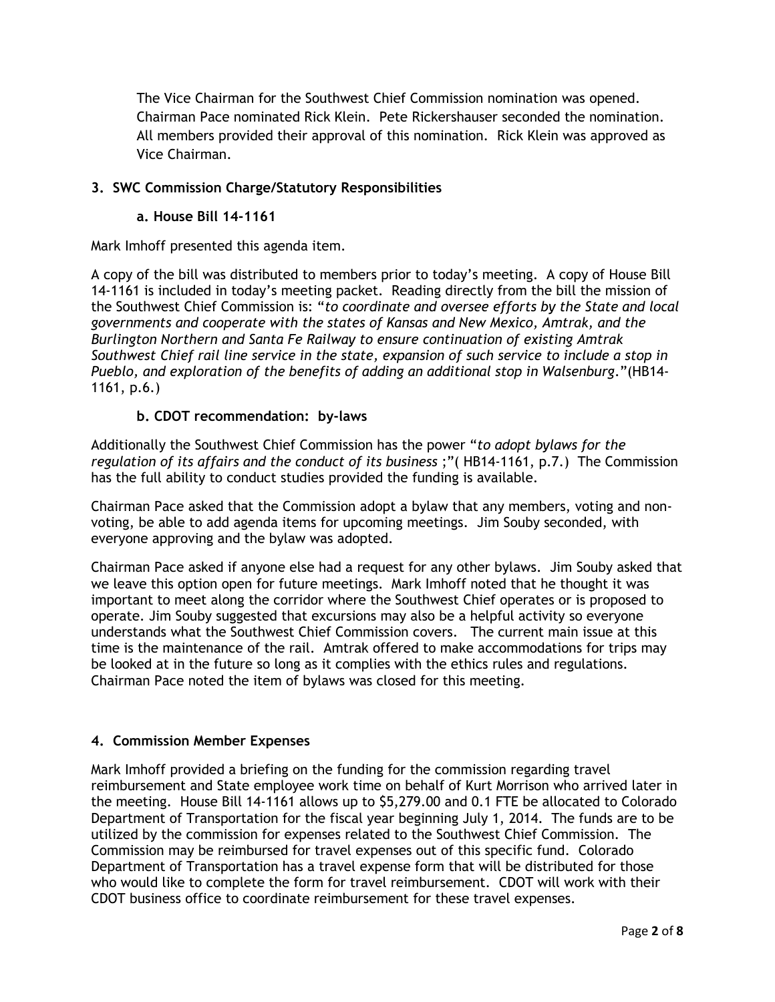The Vice Chairman for the Southwest Chief Commission nomination was opened. Chairman Pace nominated Rick Klein. Pete Rickershauser seconded the nomination. All members provided their approval of this nomination. Rick Klein was approved as Vice Chairman.

# **3. SWC Commission Charge/Statutory Responsibilities**

#### **a. House Bill 14-1161**

Mark Imhoff presented this agenda item.

A copy of the bill was distributed to members prior to today's meeting. A copy of House Bill 14-1161 is included in today's meeting packet. Reading directly from the bill the mission of the Southwest Chief Commission is: "*to coordinate and oversee efforts by the State and local governments and cooperate with the states of Kansas and New Mexico, Amtrak, and the Burlington Northern and Santa Fe Railway to ensure continuation of existing Amtrak Southwest Chief rail line service in the state, expansion of such service to include a stop in Pueblo, and exploration of the benefits of adding an additional stop in Walsenburg*."(HB14- 1161, p.6.)

## **b. CDOT recommendation: by-laws**

Additionally the Southwest Chief Commission has the power "*to adopt bylaws for the regulation of its affairs and the conduct of its business* ;"( HB14-1161, p.7.) The Commission has the full ability to conduct studies provided the funding is available.

Chairman Pace asked that the Commission adopt a bylaw that any members, voting and nonvoting, be able to add agenda items for upcoming meetings. Jim Souby seconded, with everyone approving and the bylaw was adopted.

Chairman Pace asked if anyone else had a request for any other bylaws. Jim Souby asked that we leave this option open for future meetings. Mark Imhoff noted that he thought it was important to meet along the corridor where the Southwest Chief operates or is proposed to operate. Jim Souby suggested that excursions may also be a helpful activity so everyone understands what the Southwest Chief Commission covers. The current main issue at this time is the maintenance of the rail. Amtrak offered to make accommodations for trips may be looked at in the future so long as it complies with the ethics rules and regulations. Chairman Pace noted the item of bylaws was closed for this meeting.

## **4. Commission Member Expenses**

Mark Imhoff provided a briefing on the funding for the commission regarding travel reimbursement and State employee work time on behalf of Kurt Morrison who arrived later in the meeting. House Bill 14-1161 allows up to \$5,279.00 and 0.1 FTE be allocated to Colorado Department of Transportation for the fiscal year beginning July 1, 2014. The funds are to be utilized by the commission for expenses related to the Southwest Chief Commission. The Commission may be reimbursed for travel expenses out of this specific fund. Colorado Department of Transportation has a travel expense form that will be distributed for those who would like to complete the form for travel reimbursement. CDOT will work with their CDOT business office to coordinate reimbursement for these travel expenses.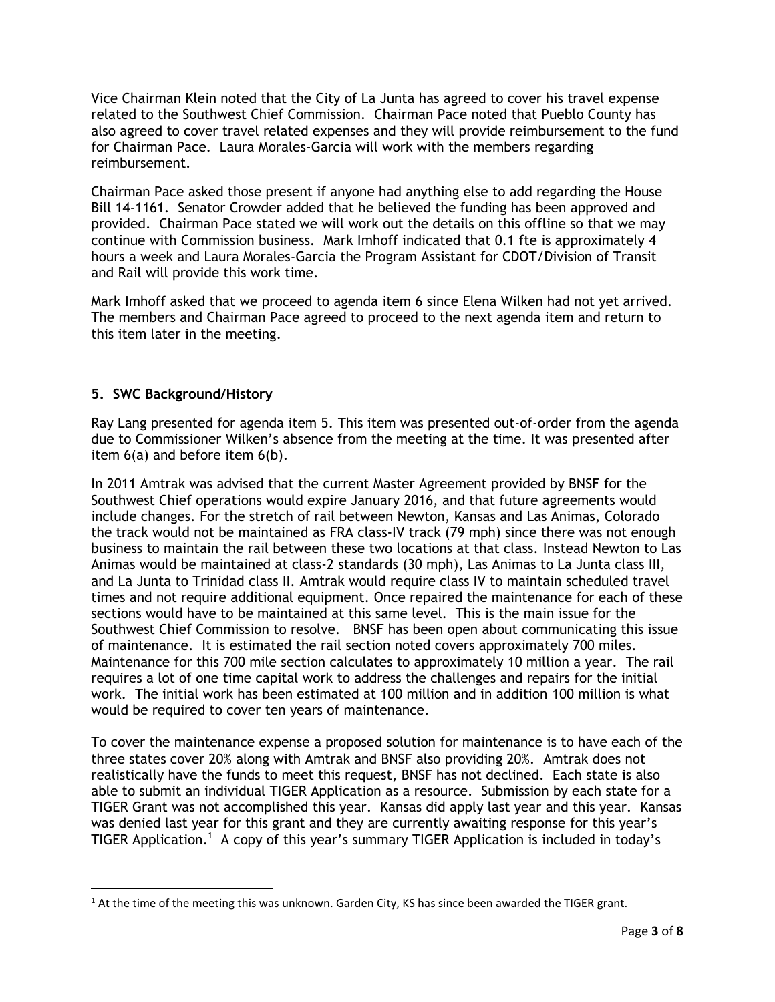Vice Chairman Klein noted that the City of La Junta has agreed to cover his travel expense related to the Southwest Chief Commission. Chairman Pace noted that Pueblo County has also agreed to cover travel related expenses and they will provide reimbursement to the fund for Chairman Pace. Laura Morales-Garcia will work with the members regarding reimbursement.

Chairman Pace asked those present if anyone had anything else to add regarding the House Bill 14-1161. Senator Crowder added that he believed the funding has been approved and provided. Chairman Pace stated we will work out the details on this offline so that we may continue with Commission business. Mark Imhoff indicated that 0.1 fte is approximately 4 hours a week and Laura Morales-Garcia the Program Assistant for CDOT/Division of Transit and Rail will provide this work time.

Mark Imhoff asked that we proceed to agenda item 6 since Elena Wilken had not yet arrived. The members and Chairman Pace agreed to proceed to the next agenda item and return to this item later in the meeting.

## **5. SWC Background/History**

 $\overline{\phantom{a}}$ 

Ray Lang presented for agenda item 5. This item was presented out-of-order from the agenda due to Commissioner Wilken's absence from the meeting at the time. It was presented after item 6(a) and before item 6(b).

In 2011 Amtrak was advised that the current Master Agreement provided by BNSF for the Southwest Chief operations would expire January 2016, and that future agreements would include changes. For the stretch of rail between Newton, Kansas and Las Animas, Colorado the track would not be maintained as FRA class-IV track (79 mph) since there was not enough business to maintain the rail between these two locations at that class. Instead Newton to Las Animas would be maintained at class-2 standards (30 mph), Las Animas to La Junta class III, and La Junta to Trinidad class II. Amtrak would require class IV to maintain scheduled travel times and not require additional equipment. Once repaired the maintenance for each of these sections would have to be maintained at this same level. This is the main issue for the Southwest Chief Commission to resolve. BNSF has been open about communicating this issue of maintenance. It is estimated the rail section noted covers approximately 700 miles. Maintenance for this 700 mile section calculates to approximately 10 million a year. The rail requires a lot of one time capital work to address the challenges and repairs for the initial work. The initial work has been estimated at 100 million and in addition 100 million is what would be required to cover ten years of maintenance.

To cover the maintenance expense a proposed solution for maintenance is to have each of the three states cover 20% along with Amtrak and BNSF also providing 20%. Amtrak does not realistically have the funds to meet this request, BNSF has not declined. Each state is also able to submit an individual TIGER Application as a resource. Submission by each state for a TIGER Grant was not accomplished this year. Kansas did apply last year and this year. Kansas was denied last year for this grant and they are currently awaiting response for this year's TIGER Application.<sup>1</sup> A copy of this year's summary TIGER Application is included in today's

 $1$  At the time of the meeting this was unknown. Garden City, KS has since been awarded the TIGER grant.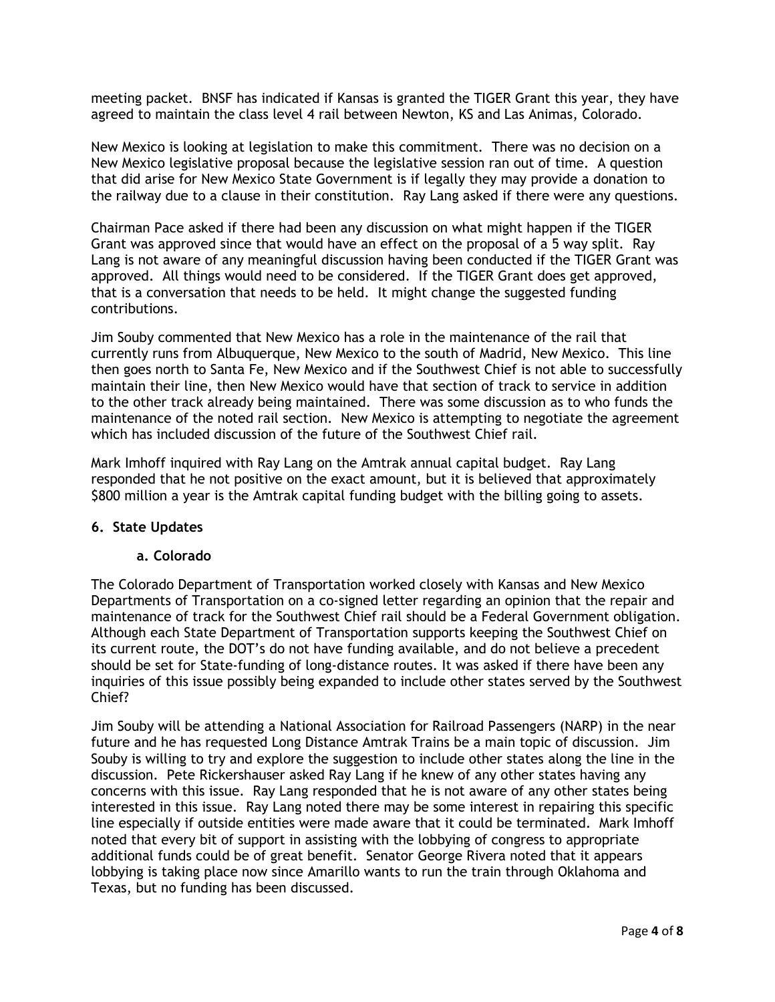meeting packet. BNSF has indicated if Kansas is granted the TIGER Grant this year, they have agreed to maintain the class level 4 rail between Newton, KS and Las Animas, Colorado.

New Mexico is looking at legislation to make this commitment. There was no decision on a New Mexico legislative proposal because the legislative session ran out of time. A question that did arise for New Mexico State Government is if legally they may provide a donation to the railway due to a clause in their constitution. Ray Lang asked if there were any questions.

Chairman Pace asked if there had been any discussion on what might happen if the TIGER Grant was approved since that would have an effect on the proposal of a 5 way split. Ray Lang is not aware of any meaningful discussion having been conducted if the TIGER Grant was approved. All things would need to be considered. If the TIGER Grant does get approved, that is a conversation that needs to be held. It might change the suggested funding contributions.

Jim Souby commented that New Mexico has a role in the maintenance of the rail that currently runs from Albuquerque, New Mexico to the south of Madrid, New Mexico. This line then goes north to Santa Fe, New Mexico and if the Southwest Chief is not able to successfully maintain their line, then New Mexico would have that section of track to service in addition to the other track already being maintained. There was some discussion as to who funds the maintenance of the noted rail section. New Mexico is attempting to negotiate the agreement which has included discussion of the future of the Southwest Chief rail.

Mark Imhoff inquired with Ray Lang on the Amtrak annual capital budget. Ray Lang responded that he not positive on the exact amount, but it is believed that approximately \$800 million a year is the Amtrak capital funding budget with the billing going to assets.

## **6. State Updates**

#### **a. Colorado**

The Colorado Department of Transportation worked closely with Kansas and New Mexico Departments of Transportation on a co-signed letter regarding an opinion that the repair and maintenance of track for the Southwest Chief rail should be a Federal Government obligation. Although each State Department of Transportation supports keeping the Southwest Chief on its current route, the DOT's do not have funding available, and do not believe a precedent should be set for State-funding of long-distance routes. It was asked if there have been any inquiries of this issue possibly being expanded to include other states served by the Southwest Chief?

Jim Souby will be attending a National Association for Railroad Passengers (NARP) in the near future and he has requested Long Distance Amtrak Trains be a main topic of discussion. Jim Souby is willing to try and explore the suggestion to include other states along the line in the discussion. Pete Rickershauser asked Ray Lang if he knew of any other states having any concerns with this issue. Ray Lang responded that he is not aware of any other states being interested in this issue. Ray Lang noted there may be some interest in repairing this specific line especially if outside entities were made aware that it could be terminated. Mark Imhoff noted that every bit of support in assisting with the lobbying of congress to appropriate additional funds could be of great benefit. Senator George Rivera noted that it appears lobbying is taking place now since Amarillo wants to run the train through Oklahoma and Texas, but no funding has been discussed.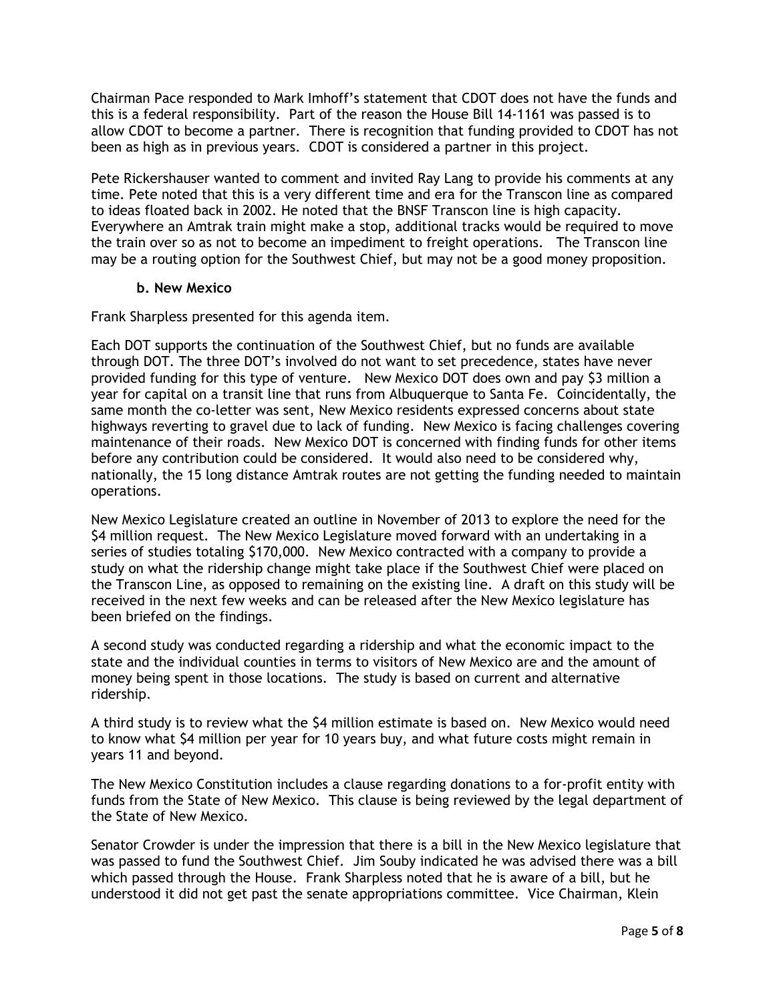Chairman Pace responded to Mark Imhoff's statement that CDOT does not have the funds and this is a federal responsibility. Part of the reason the House Bill 14-1161 was passed is to allow CDOT to become a partner. There is recognition that funding provided to CDOT has not been as high as in previous years. CDOT is considered a partner in this project.

Pete Rickershauser wanted to comment and invited Ray Lang to provide his comments at any time. Pete noted that this is a very different time and era for the Transcon line as compared to ideas floated back in 2002. He noted that the BNSF Transcon line is high capacity. Everywhere an Amtrak train might make a stop, additional tracks would be required to move the train over so as not to become an impediment to freight operations. The Transcon line may be a routing option for the Southwest Chief, but may not be a good money proposition.

#### **b. New Mexico**

Frank Sharpless presented for this agenda item.

Each DOT supports the continuation of the Southwest Chief, but no funds are available through DOT. The three DOT's involved do not want to set precedence, states have never provided funding for this type of venture. New Mexico DOT does own and pay \$3 million a year for capital on a transit line that runs from Albuquerque to Santa Fe. Coincidentally, the same month the co-letter was sent, New Mexico residents expressed concerns about state highways reverting to gravel due to lack of funding. New Mexico is facing challenges covering maintenance of their roads. New Mexico DOT is concerned with finding funds for other items before any contribution could be considered. It would also need to be considered why, nationally, the 15 long distance Amtrak routes are not getting the funding needed to maintain operations.

New Mexico Legislature created an outline in November of 2013 to explore the need for the \$4 million request. The New Mexico Legislature moved forward with an undertaking in a series of studies totaling \$170,000. New Mexico contracted with a company to provide a study on what the ridership change might take place if the Southwest Chief were placed on the Transcon Line, as opposed to remaining on the existing line. A draft on this study will be received in the next few weeks and can be released after the New Mexico legislature has been briefed on the findings.

A second study was conducted regarding a ridership and what the economic impact to the state and the individual counties in terms to visitors of New Mexico are and the amount of money being spent in those locations. The study is based on current and alternative ridership.

A third study is to review what the \$4 million estimate is based on. New Mexico would need to know what \$4 million per year for 10 years buy, and what future costs might remain in years 11 and beyond.

The New Mexico Constitution includes a clause regarding donations to a for-profit entity with funds from the State of New Mexico. This clause is being reviewed by the legal department of the State of New Mexico.

Senator Crowder is under the impression that there is a bill in the New Mexico legislature that was passed to fund the Southwest Chief. Jim Souby indicated he was advised there was a bill which passed through the House. Frank Sharpless noted that he is aware of a bill, but he understood it did not get past the senate appropriations committee. Vice Chairman, Klein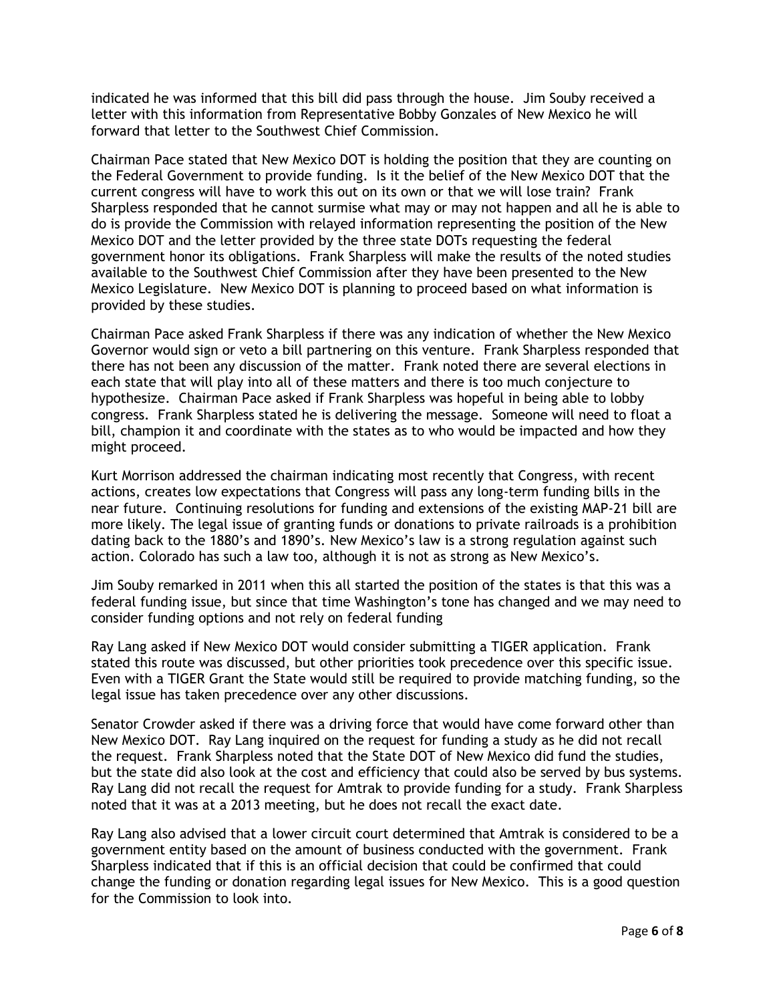indicated he was informed that this bill did pass through the house. Jim Souby received a letter with this information from Representative Bobby Gonzales of New Mexico he will forward that letter to the Southwest Chief Commission.

Chairman Pace stated that New Mexico DOT is holding the position that they are counting on the Federal Government to provide funding. Is it the belief of the New Mexico DOT that the current congress will have to work this out on its own or that we will lose train? Frank Sharpless responded that he cannot surmise what may or may not happen and all he is able to do is provide the Commission with relayed information representing the position of the New Mexico DOT and the letter provided by the three state DOTs requesting the federal government honor its obligations. Frank Sharpless will make the results of the noted studies available to the Southwest Chief Commission after they have been presented to the New Mexico Legislature. New Mexico DOT is planning to proceed based on what information is provided by these studies.

Chairman Pace asked Frank Sharpless if there was any indication of whether the New Mexico Governor would sign or veto a bill partnering on this venture. Frank Sharpless responded that there has not been any discussion of the matter. Frank noted there are several elections in each state that will play into all of these matters and there is too much conjecture to hypothesize. Chairman Pace asked if Frank Sharpless was hopeful in being able to lobby congress. Frank Sharpless stated he is delivering the message. Someone will need to float a bill, champion it and coordinate with the states as to who would be impacted and how they might proceed.

Kurt Morrison addressed the chairman indicating most recently that Congress, with recent actions, creates low expectations that Congress will pass any long-term funding bills in the near future. Continuing resolutions for funding and extensions of the existing MAP-21 bill are more likely. The legal issue of granting funds or donations to private railroads is a prohibition dating back to the 1880's and 1890's. New Mexico's law is a strong regulation against such action. Colorado has such a law too, although it is not as strong as New Mexico's.

Jim Souby remarked in 2011 when this all started the position of the states is that this was a federal funding issue, but since that time Washington's tone has changed and we may need to consider funding options and not rely on federal funding

Ray Lang asked if New Mexico DOT would consider submitting a TIGER application. Frank stated this route was discussed, but other priorities took precedence over this specific issue. Even with a TIGER Grant the State would still be required to provide matching funding, so the legal issue has taken precedence over any other discussions.

Senator Crowder asked if there was a driving force that would have come forward other than New Mexico DOT. Ray Lang inquired on the request for funding a study as he did not recall the request. Frank Sharpless noted that the State DOT of New Mexico did fund the studies, but the state did also look at the cost and efficiency that could also be served by bus systems. Ray Lang did not recall the request for Amtrak to provide funding for a study. Frank Sharpless noted that it was at a 2013 meeting, but he does not recall the exact date.

Ray Lang also advised that a lower circuit court determined that Amtrak is considered to be a government entity based on the amount of business conducted with the government. Frank Sharpless indicated that if this is an official decision that could be confirmed that could change the funding or donation regarding legal issues for New Mexico. This is a good question for the Commission to look into.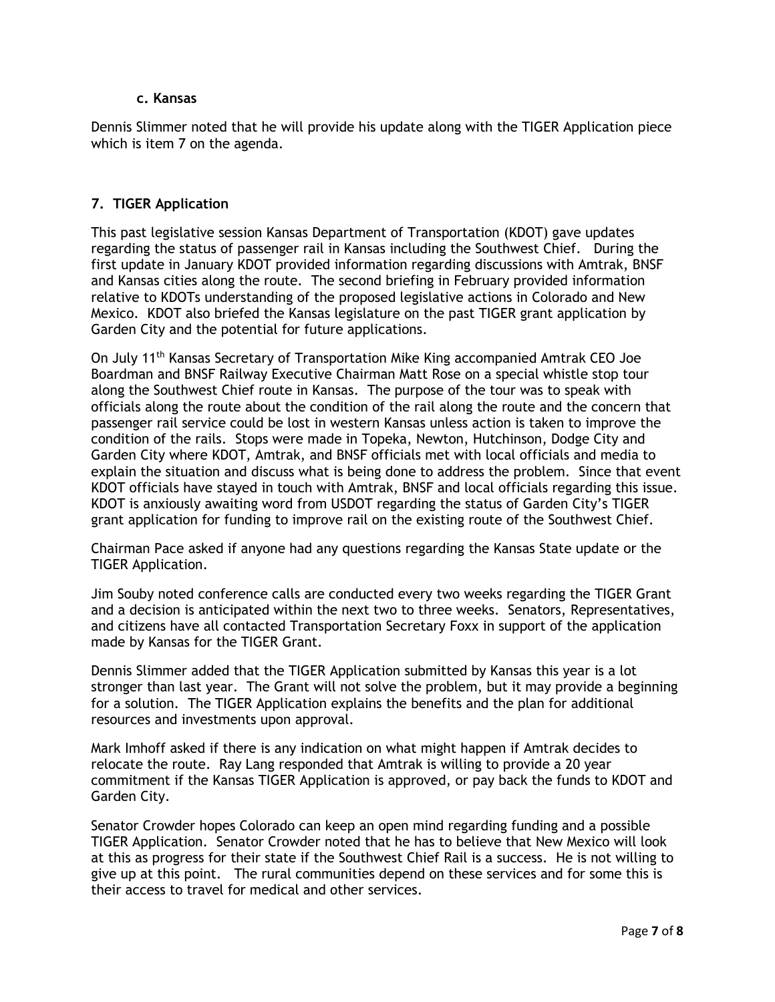#### **c. Kansas**

Dennis Slimmer noted that he will provide his update along with the TIGER Application piece which is item 7 on the agenda.

## **7. TIGER Application**

This past legislative session Kansas Department of Transportation (KDOT) gave updates regarding the status of passenger rail in Kansas including the Southwest Chief. During the first update in January KDOT provided information regarding discussions with Amtrak, BNSF and Kansas cities along the route. The second briefing in February provided information relative to KDOTs understanding of the proposed legislative actions in Colorado and New Mexico. KDOT also briefed the Kansas legislature on the past TIGER grant application by Garden City and the potential for future applications.

On July 11th Kansas Secretary of Transportation Mike King accompanied Amtrak CEO Joe Boardman and BNSF Railway Executive Chairman Matt Rose on a special whistle stop tour along the Southwest Chief route in Kansas. The purpose of the tour was to speak with officials along the route about the condition of the rail along the route and the concern that passenger rail service could be lost in western Kansas unless action is taken to improve the condition of the rails. Stops were made in Topeka, Newton, Hutchinson, Dodge City and Garden City where KDOT, Amtrak, and BNSF officials met with local officials and media to explain the situation and discuss what is being done to address the problem. Since that event KDOT officials have stayed in touch with Amtrak, BNSF and local officials regarding this issue. KDOT is anxiously awaiting word from USDOT regarding the status of Garden City's TIGER grant application for funding to improve rail on the existing route of the Southwest Chief.

Chairman Pace asked if anyone had any questions regarding the Kansas State update or the TIGER Application.

Jim Souby noted conference calls are conducted every two weeks regarding the TIGER Grant and a decision is anticipated within the next two to three weeks. Senators, Representatives, and citizens have all contacted Transportation Secretary Foxx in support of the application made by Kansas for the TIGER Grant.

Dennis Slimmer added that the TIGER Application submitted by Kansas this year is a lot stronger than last year. The Grant will not solve the problem, but it may provide a beginning for a solution. The TIGER Application explains the benefits and the plan for additional resources and investments upon approval.

Mark Imhoff asked if there is any indication on what might happen if Amtrak decides to relocate the route. Ray Lang responded that Amtrak is willing to provide a 20 year commitment if the Kansas TIGER Application is approved, or pay back the funds to KDOT and Garden City.

Senator Crowder hopes Colorado can keep an open mind regarding funding and a possible TIGER Application. Senator Crowder noted that he has to believe that New Mexico will look at this as progress for their state if the Southwest Chief Rail is a success. He is not willing to give up at this point. The rural communities depend on these services and for some this is their access to travel for medical and other services.